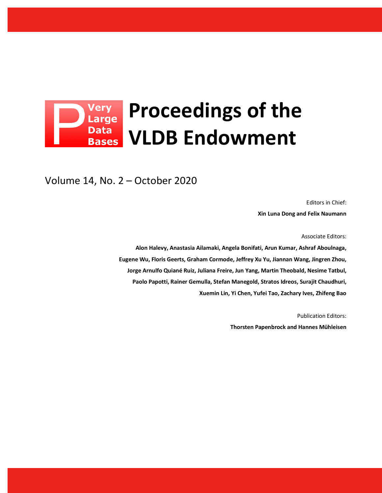# **Proceedings of the Data VLDB Endowment Bases**

Volume 14, No. 2 – October 2020

Editors in Chief: **Xin Luna Dong and Felix Naumann**

Associate Editors:

**Alon Halevy, Anastasia Ailamaki, Angela Bonifati, Arun Kumar, Ashraf Aboulnaga, Eugene Wu, Floris Geerts, Graham Cormode, Jeffrey Xu Yu, Jiannan Wang, Jingren Zhou, Jorge Arnulfo Quiané Ruiz, Juliana Freire, Jun Yang, Martin Theobald, Nesime Tatbul, Paolo Papotti, Rainer Gemulla, Stefan Manegold, Stratos Idreos, Surajit Chaudhuri, Xuemin Lin, Yi Chen, Yufei Tao, Zachary Ives, Zhifeng Bao**

> Publication Editors: **Thorsten Papenbrock and Hannes Mühleisen**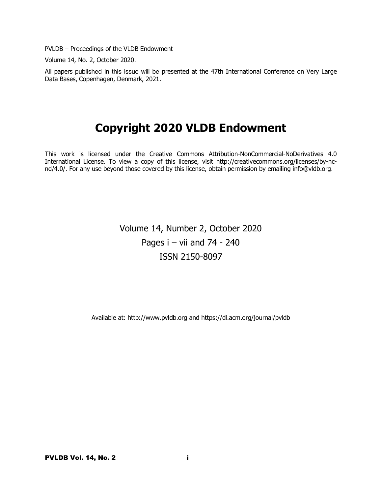PVLDB – Proceedings of the VLDB Endowment

Volume 14, No. 2, October 2020.

All papers published in this issue will be presented at the 47th International Conference on Very Large Data Bases, Copenhagen, Denmark, 2021.

# **Copyright 2020 VLDB Endowment**

This work is licensed under the Creative Commons Attribution-NonCommercial-NoDerivatives 4.0 International License. To view a copy of this license, visit http://creativecommons.org/licenses/by-ncnd/4.0/. For any use beyond those covered by this license, obtain permission by emailing info@vldb.org.

> Volume 14, Number 2, October 2020 Pages i – vii and 74 - 240 ISSN 2150-8097

Available at: http://www.pvldb.org and https://dl.acm.org/journal/pvldb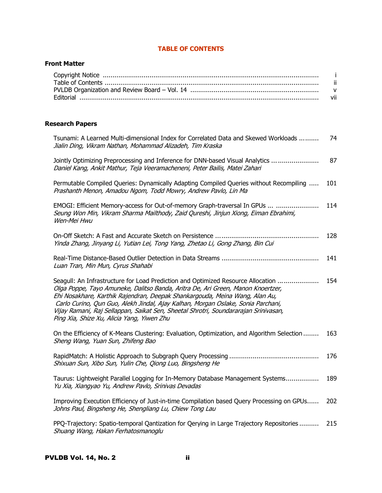# **TABLE OF CONTENTS**

# **Front Matter**

# **Research Papers**

| Tsunami: A Learned Multi-dimensional Index for Correlated Data and Skewed Workloads<br>Jialin Ding, Vikram Nathan, Mohammad Alizadeh, Tim Kraska                                                                                                                                                                                                                                                                                                                            | 74  |
|-----------------------------------------------------------------------------------------------------------------------------------------------------------------------------------------------------------------------------------------------------------------------------------------------------------------------------------------------------------------------------------------------------------------------------------------------------------------------------|-----|
| Jointly Optimizing Preprocessing and Inference for DNN-based Visual Analytics<br>Daniel Kang, Ankit Mathur, Teja Veeramacheneni, Peter Bailis, Matei Zahari                                                                                                                                                                                                                                                                                                                 | 87  |
| Permutable Compiled Queries: Dynamically Adapting Compiled Queries without Recompiling<br>Prashanth Menon, Amadou Ngom, Todd Mowry, Andrew Pavlo, Lin Ma                                                                                                                                                                                                                                                                                                                    | 101 |
| EMOGI: Efficient Memory-access for Out-of-memory Graph-traversal In GPUs<br>Seung Won Min, Vikram Sharma Mailthody, Zaid Qureshi, Jinjun Xiong, Eiman Ebrahimi,<br>Wen-Mei Hwu                                                                                                                                                                                                                                                                                              | 114 |
| On-Off Sketch: A Fast and Accurate Sketch on Persistence<br>Yinda Zhang, Jinyang Li, Yutian Lei, Tong Yang, Zhetao Li, Gong Zhang, Bin Cui                                                                                                                                                                                                                                                                                                                                  | 128 |
| Luan Tran, Min Mun, Cyrus Shahabi                                                                                                                                                                                                                                                                                                                                                                                                                                           | 141 |
| Seagull: An Infrastructure for Load Prediction and Optimized Resource Allocation<br>Olga Poppe, Tayo Amuneke, Dalitso Banda, Aritra De, Ari Green, Manon Knoertzer,<br>Ehi Nosakhare, Karthik Rajendran, Deepak Shankargouda, Meina Wang, Alan Au,<br>Carlo Curino, Qun Guo, Alekh Jindal, Ajay Kalhan, Morgan Oslake, Sonia Parchani,<br>Vijay Ramani, Raj Sellappan, Saikat Sen, Sheetal Shrotri, Soundararajan Srinivasan,<br>Ping Xia, Shize Xu, Alicia Yang, Yiwen Zhu | 154 |
| On the Efficiency of K-Means Clustering: Evaluation, Optimization, and Algorithm Selection<br>Sheng Wang, Yuan Sun, Zhifeng Bao                                                                                                                                                                                                                                                                                                                                             | 163 |
| Shixuan Sun, Xibo Sun, Yulin Che, Qiong Luo, Bingsheng He                                                                                                                                                                                                                                                                                                                                                                                                                   | 176 |
| Taurus: Lightweight Parallel Logging for In-Memory Database Management Systems<br>Yu Xia, Xiangyao Yu, Andrew Pavlo, Srinivas Devadas                                                                                                                                                                                                                                                                                                                                       | 189 |
| Improving Execution Efficiency of Just-in-time Compilation based Query Processing on GPUs<br>Johns Paul, Bingsheng He, Shengliang Lu, Chiew Tong Lau                                                                                                                                                                                                                                                                                                                        | 202 |
| PPQ-Trajectory: Spatio-temporal Qantization for Qerying in Large Trajectory Repositories<br>Shuang Wang, Hakan Ferhatosmanoglu                                                                                                                                                                                                                                                                                                                                              | 215 |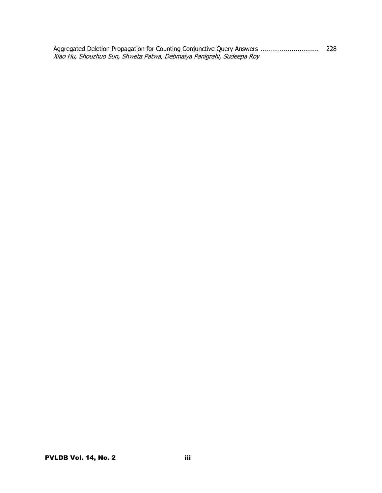Aggregated Deletion Propagation for Counting Conjunctive Query Answers .............................. 228 Xiao Hu, Shouzhuo Sun, Shweta Patwa, Debmalya Panigrahi, Sudeepa Roy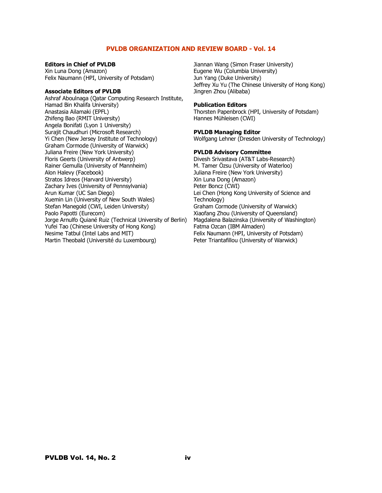## **PVLDB ORGANIZATION AND REVIEW BOARD - Vol. 14**

#### **Editors in Chief of PVLDB**

Xin Luna Dong (Amazon) Felix Naumann (HPI, University of Potsdam)

#### **Associate Editors of PVLDB**

Ashraf Aboulnaga (Qatar Computing Research Institute, Hamad Bin Khalifa University) Anastasia Ailamaki (EPFL) Zhifeng Bao (RMIT University) Angela Bonifati (Lyon 1 University) Surajit Chaudhuri (Microsoft Research) Yi Chen (New Jersey Institute of Technology) Graham Cormode (University of Warwick) Juliana Freire (New York University) Floris Geerts (University of Antwerp) Rainer Gemulla (University of Mannheim) Alon Halevy (Facebook) Stratos Idreos (Harvard University) Zachary Ives (University of Pennsylvania) Arun Kumar (UC San Diego) Xuemin Lin (University of New South Wales) Stefan Manegold (CWI, Leiden University) Paolo Papotti (Eurecom) Jorge Arnulfo Quiané Ruiz (Technical University of Berlin) Yufei Tao (Chinese University of Hong Kong) Nesime Tatbul (Intel Labs and MIT) Martin Theobald (Université du Luxembourg)

Jiannan Wang (Simon Fraser University) Eugene Wu (Columbia University) Jun Yang (Duke University) Jeffrey Xu Yu (The Chinese University of Hong Kong) Jingren Zhou (Alibaba)

#### **Publication Editors**

Thorsten Papenbrock (HPI, University of Potsdam) Hannes Mühleisen (CWI)

## **PVLDB Managing Editor**

Wolfgang Lehner (Dresden University of Technology)

## **PVLDB Advisory Committee**

Divesh Srivastava (AT&T Labs-Research) M. Tamer Özsu (University of Waterloo) Juliana Freire (New York University) Xin Luna Dong (Amazon) Peter Boncz (CWI) Lei Chen (Hong Kong University of Science and Technology) Graham Cormode (University of Warwick) Xiaofang Zhou (University of Queensland) Magdalena Balazinska (University of Washington) Fatma Ozcan (IBM Almaden) Felix Naumann (HPI, University of Potsdam) Peter Triantafillou (University of Warwick)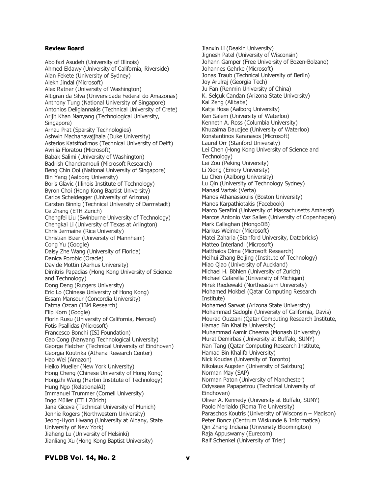## **Review Board**

Abolfazl Asudeh (University of Illinois) Ahmed Eldawy (University of California, Riverside) Alan Fekete (University of Sydney) Alekh Jindal (Microsoft) Alex Ratner (University of Washington) Altigran da Silva (Universidade Federal do Amazonas) Anthony Tung (National University of Singapore) Antonios Deligiannakis (Technical University of Crete) Arijit Khan Nanyang (Technological University, Singapore) Arnau Prat (Sparsity Technologies) Ashwin Machanavajjhala (Duke University) Asterios Katsifodimos (Technical University of Delft) Avrilia Floratou (Microsoft) Babak Salimi (University of Washington) Badrish Chandramouli (Microsoft Research) Beng Chin Ooi (National University of Singapore) Bin Yang (Aalborg University) Boris Glavic (Illinois Institute of Technology) Byron Choi (Hong Kong Baptist University) Carlos Scheidegger (University of Arizona) Carsten Binnig (Technical University of Darmstadt) Ce Zhang (ETH Zurich) Chengfei Liu (Swinburne University of Technology) Chengkai Li (University of Texas at Arlington) Chris Jermaine (Rice University) Christian Bizer (University of Mannheim) Cong Yu (Google) Daisy Zhe Wang (University of Florida) Danica Porobic (Oracle) Davide Mottin (Aarhus University) Dimitris Papadias (Hong Kong University of Science and Technology) Dong Deng (Rutgers University) Eric Lo (Chinese University of Hong Kong) Essam Mansour (Concordia University) Fatma Ozcan (IBM Research) Flip Korn (Google) Florin Rusu (University of California, Merced) Fotis Psallidas (Microsoft) Francesco Bonchi (ISI Foundation) Gao Cong (Nanyang Technological University) George Fletcher (Technical University of Eindhoven) Georgia Koutrika (Athena Research Center) Hao Wei (Amazon) Heiko Mueller (New York University) Hong Cheng (Chinese University of Hong Kong) Hongzhi Wang (Harbin Institute of Technology) Hung Ngo (RelationalAI) Immanuel Trummer (Cornell University) Ingo Müller (ETH Zürich) Jana Giceva (Technical University of Munich) Jennie Rogers (Northwestern University) Jeong-Hyon Hwang (University at Albany, State University of New York) Jiaheng Lu (University of Helsinki) Jianliang Xu (Hong Kong Baptist University)

Jianxin Li (Deakin University) Jignesh Patel (University of Wisconsin) Johann Gamper (Free University of Bozen-Bolzano) Johannes Gehrke (Microsoft) Jonas Traub (Technical University of Berlin) Joy Arulraj (Georgia Tech) Ju Fan (Renmin University of China) K. Selçuk Candan (Arizona State University) Kai Zeng (Alibaba) Katja Hose (Aalborg University) Ken Salem (University of Waterloo) Kenneth A. Ross (Columbia University) Khuzaima Daudjee (University of Waterloo) Konstantinos Karanasos (Microsoft) Laurel Orr (Stanford University) Lei Chen (Hong Kong University of Science and Technology) Lei Zou (Peking University) Li Xiong (Emory University) Lu Chen (Aalborg University) Lu Qin (University of Technology Sydney) Manasi Vartak (Verta) Manos Athanassoulis (Boston University) Manos Karpathiotakis (Facebook) Marco Serafini (University of Massachusetts Amherst) Marcos Antonio Vaz Salles (University of Copenhagen) Mark Callaghan (MongoDB) Markus Weimer (Microsoft) Matei Zaharia (Stanford University, Databricks) Matteo Interlandi (Microsoft) Matthaios Olma (Microsoft Research) Meihui Zhang Beijing (Institute of Technology) Miao Qiao (University of Auckland) Michael H. Böhlen (University of Zurich) Michael Cafarella (University of Michigan) Mirek Riedewald (Northeastern University) Mohamed Mokbel (Qatar Computing Research Institute) Mohamed Sarwat (Arizona State University) Mohammad Sadoghi (University of California, Davis) Mourad Ouzzani (Qatar Computing Research Institute, Hamad Bin Khalifa University) Muhammad Aamir Cheema (Monash University) Murat Demirbas (University at Buffalo, SUNY) Nan Tang (Qatar Computing Research Institute, Hamad Bin Khalifa University) Nick Koudas (University of Toronto) Nikolaus Augsten (University of Salzburg) Norman May (SAP) Norman Paton (University of Manchester) Odysseas Papapetrou (Technical University of Eindhoven) Oliver A. Kennedy (University at Buffalo, SUNY) Paolo Merialdo (Roma Tre University) Paraschos Koutris (University of Wisconsin – Madison) Peter Boncz (Centrum Wiskunde & Informatica) Qin Zhang Indiana (University Bloomington) Raja Appuswamy (Eurecom) Ralf Schenkel (University of Trier)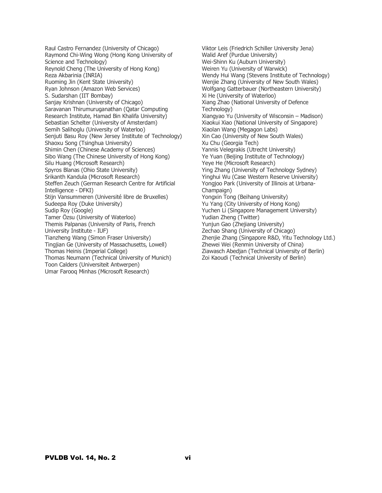Raul Castro Fernandez (University of Chicago) Raymond Chi-Wing Wong (Hong Kong University of Science and Technology) Reynold Cheng (The University of Hong Kong) Reza Akbarinia (INRIA) Ruoming Jin (Kent State University) Ryan Johnson (Amazon Web Services) S. Sudarshan (IIT Bombay) Sanjay Krishnan (University of Chicago) Saravanan Thirumuruganathan (Qatar Computing Research Institute, Hamad Bin Khalifa University) Sebastian Schelter (University of Amsterdam) Semih Salihoglu (University of Waterloo) Senjuti Basu Roy (New Jersey Institute of Technology) Shaoxu Song (Tsinghua University) Shimin Chen (Chinese Academy of Sciences) Sibo Wang (The Chinese University of Hong Kong) Silu Huang (Microsoft Research) Spyros Blanas (Ohio State University) Srikanth Kandula (Microsoft Research) Steffen Zeuch (German Research Centre for Artificial Intelligence - DFKI) Stijn Vansummeren (Université libre de Bruxelles) Sudeepa Roy (Duke University) Sudip Roy (Google) Tamer Özsu (University of Waterloo) Themis Palpanas (University of Paris, French University Institute - IUF) Tianzheng Wang (Simon Fraser University) Tingjian Ge (University of Massachusetts, Lowell) Thomas Heinis (Imperial College) Thomas Neumann (Technical University of Munich) Toon Calders (Universiteit Antwerpen) Umar Farooq Minhas (Microsoft Research)

Viktor Leis (Friedrich Schiller University Jena) Walid Aref (Purdue University) Wei-Shinn Ku (Auburn University) Weiren Yu (University of Warwick) Wendy Hui Wang (Stevens Institute of Technology) Wenjie Zhang (University of New South Wales) Wolfgang Gatterbauer (Northeastern University) Xi He (University of Waterloo) Xiang Zhao (National University of Defence Technology) Xiangyao Yu (University of Wisconsin – Madison) Xiaokui Xiao (National University of Singapore) Xiaolan Wang (Megagon Labs) Xin Cao (University of New South Wales) Xu Chu (Georgia Tech) Yannis Velegrakis (Utrecht University) Ye Yuan (Beijing Institute of Technology) Yeye He (Microsoft Research) Ying Zhang (University of Technology Sydney) Yinghui Wu (Case Western Reserve University) Yongjoo Park (University of Illinois at Urbana-Champaign) Yongxin Tong (Beihang University) Yu Yang (City University of Hong Kong) Yuchen Li (Singapore Management University) Yudian Zheng (Twitter) Yunjun Gao (Zhejiang University) Zechao Shang (University of Chicago) Zhenjie Zhang (Singapore R&D, Yitu Technology Ltd.) Zhewei Wei (Renmin University of China) Ziawasch Abedjan (Technical University of Berlin) Zoi Kaoudi (Technical University of Berlin)